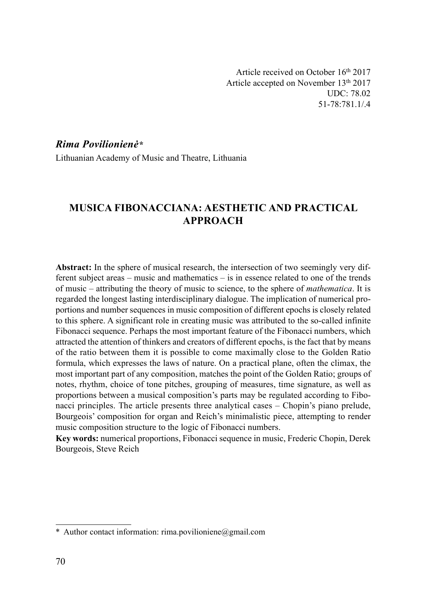Article received on October 16th 2017 Article accepted on November 13th 2017 UDC: 78.02 51-78:781.1/.4

### Rima Povilionienė\*

Lithuanian Academy of Music and Theatre, Lithuania

# MUSICA FIBONACCIANA: AESTHETIC AND PRACTICAL APPROACH

Abstract: In the sphere of musical research, the intersection of two seemingly very different subject areas – music and mathematics – is in essence related to one of the trends of music – attributing the theory of music to science, to the sphere of *mathematica*. It is regarded the longest lasting interdisciplinary dialogue. The implication of numerical proportions and number sequences in music composition of different epochs is closely related to this sphere. A significant role in creating music was attributed to the so-called infinite Fibonacci sequence. Perhaps the most important feature of the Fibonacci numbers, which attracted the attention of thinkers and creators of different epochs, is the fact that by means of the ratio between them it is possible to come maximally close to the Golden Ratio formula, which expresses the laws of nature. On a practical plane, often the climax, the most important part of any composition, matches the point of the Golden Ratio; groups of notes, rhythm, choice of tone pitches, grouping of measures, time signature, as well as proportions between a musical composition's parts may be regulated according to Fibonacci principles. The article presents three analytical cases – Chopin's piano prelude, Bourgeois' composition for organ and Reich's minimalistic piece, attempting to render music composition structure to the logic of Fibonacci numbers.

Key words: numerical proportions, Fibonacci sequence in music, Frederic Chopin, Derek Bourgeois, Steve Reich

<sup>\*</sup> Author contact information: rima.povilioniene@gmail.com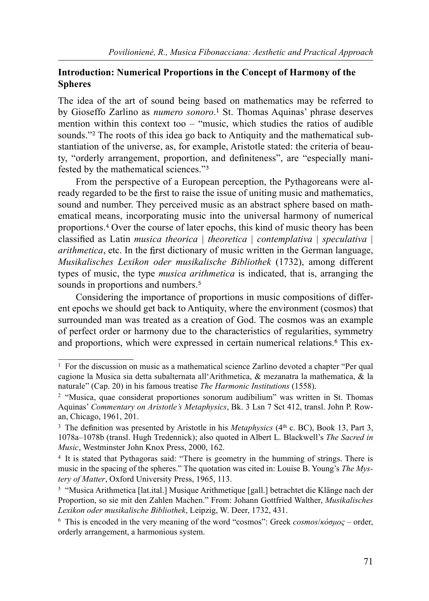## Introduction: Numerical Proportions in the Concept of Harmony of the Spheres

The idea of the art of sound being based on mathematics may be referred to by Gioseffo Zarlino as *numero sonoro*.<sup>1</sup> St. Thomas Aquinas' phrase deserves mention within this context too  $-$  "music, which studies the ratios of audible sounds."<sup>2</sup> The roots of this idea go back to Antiquity and the mathematical substantiation of the universe, as, for example, Aristotle stated: the criteria of beauty, "orderly arrangement, proportion, and definiteness", are "especially manifested by the mathematical sciences."

From the perspective of a European perception, the Pythagoreans were already regarded to be the first to raise the issue of uniting music and mathematics, sound and number. They perceived music as an abstract sphere based on mathematical means, incorporating music into the universal harmony of numerical proportions.<sup>4</sup> Over the course of later epochs, this kind of music theory has been classified as Latin musica theorica | theoretica | contemplativa | speculativa |  $arithmetica$ , etc. In the first dictionary of music written in the German language, Musikalisches Lexikon oder musikalische Bibliothek (1732), among different types of music, the type musica arithmetica is indicated, that is, arranging the sounds in proportions and numbers.<sup>5</sup>

Considering the importance of proportions in music compositions of different epochs we should get back to Antiquity, where the environment (cosmos) that surrounded man was treated as a creation of God. The cosmos was an example of perfect order or harmony due to the characteristics of regularities, symmetry and proportions, which were expressed in certain numerical relations.<sup>6</sup> This ex-

 $<sup>1</sup>$  For the discussion on music as a mathematical science Zarlino devoted a chapter "Per qual</sup> cagione la Musica sia detta subalternata all'Arithmetica, & mezanatra la mathematica, & la naturale" (Cap. 20) in his famous treatise *The Harmonic Institutions* (1558).

<sup>2 &</sup>quot;Musica, quae considerat proportiones sonorum audibilium" was written in St. Thomas Aquinas' Commentary on Aristotle's Metaphysics, Bk. 3 Lsn 7 Sct 412, transl. John P. Rowan, Chicago, 1961, 201.

<sup>&</sup>lt;sup>3</sup> The definition was presented by Aristotle in his *Metaphysics* ( $4<sup>th</sup>$  c. BC), Book 13, Part 3, 1078a–1078b (transl. Hugh Tredennick); also quoted in Albert L. Blackwell's The Sacred in Music, Westminster John Knox Press, 2000, 162.

<sup>4</sup> It is stated that Pythagoras said: "There is geometry in the humming of strings. There is music in the spacing of the spheres." The quotation was cited in: Louise B. Young's The Mystery of Matter, Oxford University Press, 1965, 113.

 $5$  "Musica Arithmetica [lat.ital.] Musique Arithmetique [gall.] betrachtet die Klänge nach der Proportion, so sie mit den Zahlen Machen." From: Johann Gottfried Walther, Musikalisches Lexikon oder musikalische Bibliothek, Leipzig, W. Deer, 1732, 431.

<sup>&</sup>lt;sup>6</sup> This is encoded in the very meaning of the word "cosmos": Greek *cosmos/κόσμος* – order, orderly arrangement, a harmonious system.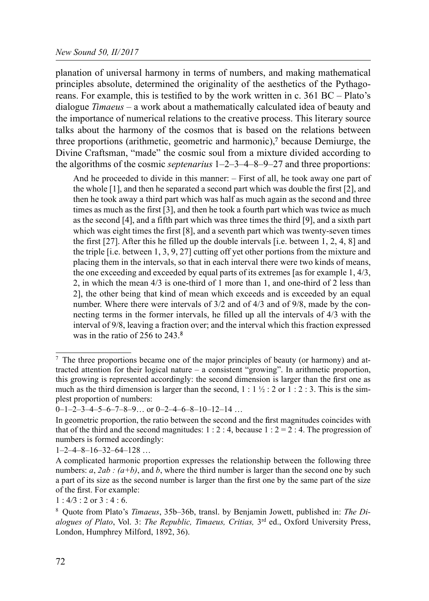planation of universal harmony in terms of numbers, and making mathematical principles absolute, determined the originality of the aesthetics of the Pythagoreans. For example, this is testified to by the work written in c.  $361 \text{ BC} - \text{Plato's}$ dialogue Timaeus – a work about a mathematically calculated idea of beauty and the importance of numerical relations to the creative process. This literary source talks about the harmony of the cosmos that is based on the relations between three proportions (arithmetic, geometric and harmonic), $\bar{z}$  because Demiurge, the Divine Craftsman, "made" the cosmic soul from a mixture divided according to the algorithms of the cosmic *septenarius*  $1-2-3-4-8-9-27$  and three proportions:

And he proceeded to divide in this manner: – First of all, he took away one part of the whole [1], and then he separated a second part which was double the first [2], and then he took away a third part which was half as much again as the second and three times as much as the first [3], and then he took a fourth part which was twice as much as the second [4], and a fifth part which was three times the third [9], and a sixth part which was eight times the first [8], and a seventh part which was twenty-seven times the first [27]. After this he filled up the double intervals [i.e. between 1, 2, 4, 8] and the triple [i.e. between 1, 3, 9, 27] cutting off yet other portions from the mixture and placing them in the intervals, so that in each interval there were two kinds of means, the one exceeding and exceeded by equal parts of its extremes [as for example 1, 4/3, 2, in which the mean 4/3 is one-third of 1 more than 1, and one-third of 2 less than 2], the other being that kind of mean which exceeds and is exceeded by an equal number. Where there were intervals of 3/2 and of 4/3 and of 9/8, made by the connecting terms in the former intervals, he filled up all the intervals of 4/3 with the interval of 9/8, leaving a fraction over; and the interval which this fraction expressed was in the ratio of 256 to 243.8

 $\frac{7}{1}$  The three proportions became one of the major principles of beauty (or harmony) and attracted attention for their logical nature – a consistent "growing". In arithmetic proportion, this growing is represented accordingly: the second dimension is larger than the first one as much as the third dimension is larger than the second,  $1 : 1 \frac{1}{2} : 2$  or  $1 : 2 : 3$ . This is the simplest proportion of numbers:

 $0-1-2-3-4-5-6-7-8-9...$  or  $0-2-4-6-8-10-12-14...$ 

In geometric proportion, the ratio between the second and the first magnitudes coincides with that of the third and the second magnitudes:  $1 : 2 : 4$ , because  $1 : 2 = 2 : 4$ . The progression of numbers is formed accordingly:

 $1 - 2 - 4 - 8 - 16 - 32 - 64 - 128$  ...

A complicated harmonic proportion expresses the relationship between the following three numbers:  $a, 2ab$ :  $(a+b)$ , and b, where the third number is larger than the second one by such a part of its size as the second number is larger than the first one by the same part of the size of the first. For example:

 $1:4/3:2$  or  $3:4:6$ .

<sup>8</sup> Quote from Plato's Timaeus, 35b–36b, transl. by Benjamin Jowett, published in: The Dialogues of Plato, Vol. 3: The Republic, Timaeus, Critias,  $3<sup>rd</sup>$  ed., Oxford University Press, London, Humphrey Milford, 1892, 36).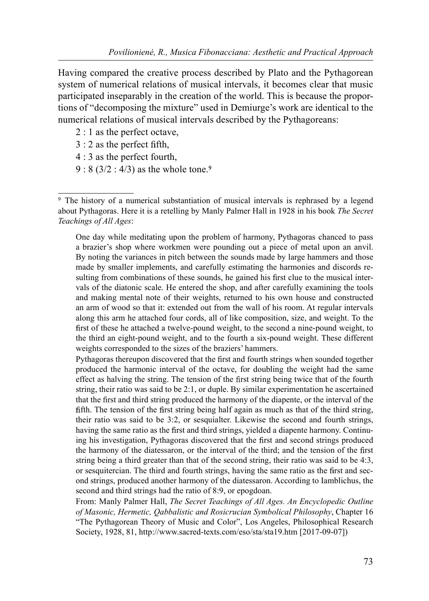Having compared the creative process described by Plato and the Pythagorean system of numerical relations of musical intervals, it becomes clear that music participated inseparably in the creation of the world. This is because the proportions of "decomposing the mixture" used in Demiurge's work are identical to the numerical relations of musical intervals described by the Pythagoreans:

- 2 : 1 as the perfect octave,
- $3:2$  as the perfect fifth,
- 4 : 3 as the perfect fourth,
- $9: 8 (3/2 : 4/3)$  as the whole tone.<sup>9</sup>

One day while meditating upon the problem of harmony, Pythagoras chanced to pass a brazier's shop where workmen were pounding out a piece of metal upon an anvil. By noting the variances in pitch between the sounds made by large hammers and those made by smaller implements, and carefully estimating the harmonies and discords resulting from combinations of these sounds, he gained his first clue to the musical intervals of the diatonic scale. He entered the shop, and after carefully examining the tools and making mental note of their weights, returned to his own house and constructed an arm of wood so that it: extended out from the wall of his room. At regular intervals along this arm he attached four cords, all of like composition, size, and weight. To the first of these he attached a twelve-pound weight, to the second a nine-pound weight, to the third an eight-pound weight, and to the fourth a six-pound weight. These different weights corresponded to the sizes of the braziers' hammers.

Pythagoras thereupon discovered that the first and fourth strings when sounded together produced the harmonic interval of the octave, for doubling the weight had the same effect as halving the string. The tension of the first string being twice that of the fourth string, their ratio was said to be 2:1, or duple. By similar experimentation he ascertained that the first and third string produced the harmony of the diapente, or the interval of the fifth. The tension of the first string being half again as much as that of the third string, their ratio was said to be 3:2, or sesquialter. Likewise the second and fourth strings, having the same ratio as the first and third strings, yielded a diapente harmony. Continuing his investigation, Pythagoras discovered that the first and second strings produced the harmony of the diatessaron, or the interval of the third; and the tension of the first string being a third greater than that of the second string, their ratio was said to be 4:3, or sesquitercian. The third and fourth strings, having the same ratio as the first and second strings, produced another harmony of the diatessaron. According to Iamblichus, the second and third strings had the ratio of 8:9, or epogdoan.

From: Manly Palmer Hall, The Secret Teachings of All Ages. An Encyclopedic Outline of Masonic, Hermetic, Qabbalistic and Rosicrucian Symbolical Philosophy, Chapter 16 "The Pythagorean Theory of Music and Color", Los Angeles, Philosophical Research Society, 1928, 81, http://www.sacred-texts.com/eso/sta/sta19.htm [2017-09-07])

<sup>&</sup>lt;sup>9</sup> The history of a numerical substantiation of musical intervals is rephrased by a legend about Pythagoras. Here it is a retelling by Manly Palmer Hall in 1928 in his book The Secret Teachings of All Ages: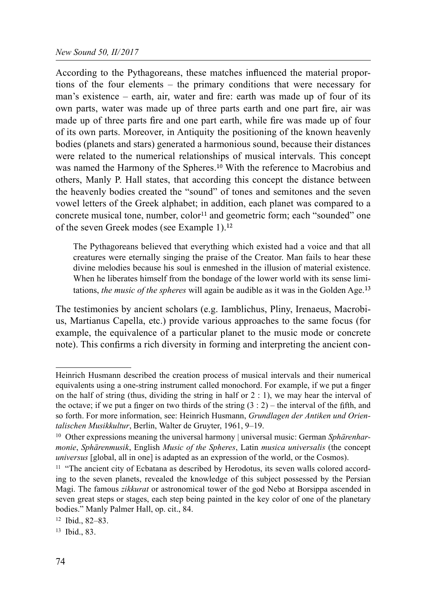According to the Pythagoreans, these matches influenced the material proportions of the four elements – the primary conditions that were necessary for man's existence – earth, air, water and fire: earth was made up of four of its own parts, water was made up of three parts earth and one part fire, air was made up of three parts fire and one part earth, while fire was made up of four of its own parts. Moreover, in Antiquity the positioning of the known heavenly bodies (planets and stars) generated a harmonious sound, because their distances were related to the numerical relationships of musical intervals. This concept was named the Harmony of the Spheres.<sup>10</sup> With the reference to Macrobius and others, Manly P. Hall states, that according this concept the distance between the heavenly bodies created the "sound" of tones and semitones and the seven vowel letters of the Greek alphabet; in addition, each planet was compared to a concrete musical tone, number, color<sup>11</sup> and geometric form; each "sounded" one of the seven Greek modes (see Example 1).

The Pythagoreans believed that everything which existed had a voice and that all creatures were eternally singing the praise of the Creator. Man fails to hear these divine melodies because his soul is enmeshed in the illusion of material existence. When he liberates himself from the bondage of the lower world with its sense limitations, the music of the spheres will again be audible as it was in the Golden Age.<sup>13</sup>

The testimonies by ancient scholars (e.g. Iamblichus, Pliny, Irenaeus, Macrobius, Martianus Capella, etc.) provide various approaches to the same focus (for example, the equivalence of a particular planet to the music mode or concrete note). This confirms a rich diversity in forming and interpreting the ancient con-

Heinrich Husmann described the creation process of musical intervals and their numerical equivalents using a one-string instrument called monochord. For example, if we put a finger on the half of string (thus, dividing the string in half or  $2:1$ ), we may hear the interval of the octave; if we put a finger on two thirds of the string  $(3:2)$  – the interval of the fifth, and so forth. For more information, see: Heinrich Husmann, Grundlagen der Antiken und Orientalischen Musikkultur, Berlin, Walter de Gruyter, 1961, 9–19.

<sup>&</sup>lt;sup>10</sup> Other expressions meaning the universal harmony | universal music: German Sphärenharmonie, Sphärenmusik, English Music of the Spheres, Latin musica universalis (the concept universus [global, all in one] is adapted as an expression of the world, or the Cosmos).

<sup>&</sup>lt;sup>11</sup> "The ancient city of Ecbatana as described by Herodotus, its seven walls colored according to the seven planets, revealed the knowledge of this subject possessed by the Persian Magi. The famous zikkurat or astronomical tower of the god Nebo at Borsippa ascended in seven great steps or stages, each step being painted in the key color of one of the planetary bodies." Manly Palmer Hall, op. cit., 84.

<sup>12</sup> Ibid., 82–83.

<sup>13</sup> Ibid., 83.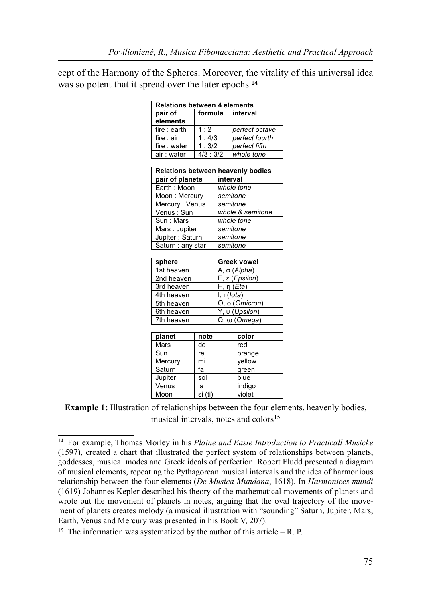cept of the Harmony of the Spheres. Moreover, the vitality of this universal idea was so potent that it spread over the later epochs.<sup>14</sup>

| Relations between 4 elements      |         |                       |                |  |  |  |  |  |  |  |
|-----------------------------------|---------|-----------------------|----------------|--|--|--|--|--|--|--|
| pair of                           | formula |                       | interval       |  |  |  |  |  |  |  |
| elements                          |         |                       |                |  |  |  |  |  |  |  |
| fire : earth                      | 1:2     |                       | perfect octave |  |  |  |  |  |  |  |
| fire : air                        | 1:4/3   |                       | perfect fourth |  |  |  |  |  |  |  |
| fire : water                      | 1:3/2   |                       | perfect fifth  |  |  |  |  |  |  |  |
| air : water                       | 4/3:3/2 |                       | whole tone     |  |  |  |  |  |  |  |
|                                   |         |                       |                |  |  |  |  |  |  |  |
| Relations between heavenly bodies |         |                       |                |  |  |  |  |  |  |  |
| pair of planets                   |         | interval              |                |  |  |  |  |  |  |  |
| Earth: Moon                       |         | whole tone            |                |  |  |  |  |  |  |  |
| Moon: Mercury                     |         | semitone              |                |  |  |  |  |  |  |  |
| Mercury: Venus                    |         | semitone              |                |  |  |  |  |  |  |  |
| Venus: Sun                        |         | whole & semitone      |                |  |  |  |  |  |  |  |
| Sun: Mars                         |         | whole tone            |                |  |  |  |  |  |  |  |
| Mars : Jupiter                    |         | semitone              |                |  |  |  |  |  |  |  |
| Jupiter: Saturn                   |         | semitone              |                |  |  |  |  |  |  |  |
| Saturn : any star                 |         | semitone              |                |  |  |  |  |  |  |  |
|                                   |         |                       |                |  |  |  |  |  |  |  |
| sphere                            |         | Greek vowel           |                |  |  |  |  |  |  |  |
| 1st heaven                        |         | A, α ( <i>Alpha</i> ) |                |  |  |  |  |  |  |  |
| 2nd heaven                        |         | E, ε (Epsilon)        |                |  |  |  |  |  |  |  |
| 3rd heaven                        |         | H, η $(Eta)$          |                |  |  |  |  |  |  |  |
| 4th heaven                        |         | I, I (Iota)           |                |  |  |  |  |  |  |  |
| 5th heaven                        |         | O, o (Omicron)        |                |  |  |  |  |  |  |  |
| 6th heaven                        |         | Y, u (Upsilon)        |                |  |  |  |  |  |  |  |
| 7th heaven                        |         | $Ω$ , ω (Omega)       |                |  |  |  |  |  |  |  |
|                                   |         |                       |                |  |  |  |  |  |  |  |
| planet                            | note    |                       | color          |  |  |  |  |  |  |  |
| Mars                              | do      |                       | red            |  |  |  |  |  |  |  |
|                                   |         |                       |                |  |  |  |  |  |  |  |

| μιαιισι | סטענ    | וטוטט  |
|---------|---------|--------|
| Mars    | do      | red    |
| Sun     | re      | orange |
| Mercury | mi      | yellow |
| Saturn  | fa      | green  |
| Jupiter | sol     | blue   |
| Venus   | la      | indigo |
| Moon    | si (ti) | violet |

Example 1: Illustration of relationships between the four elements, heavenly bodies, musical intervals, notes and colors $15$ 

 $14$  For example, Thomas Morley in his *Plaine and Easie Introduction to Practicall Musicke* (1597), created a chart that illustrated the perfect system of relationships between planets, goddesses, musical modes and Greek ideals of perfection. Robert Fludd presented a diagram of musical elements, repeating the Pythagorean musical intervals and the idea of harmonious relationship between the four elements (De Musica Mundana, 1618). In Harmonices mundi (1619) Johannes Kepler described his theory of the mathematical movements of planets and wrote out the movement of planets in notes, arguing that the oval trajectory of the movement of planets creates melody (a musical illustration with "sounding" Saturn, Jupiter, Mars, Earth, Venus and Mercury was presented in his Book V, 207).

<sup>&</sup>lt;sup>15</sup> The information was systematized by the author of this article – R. P.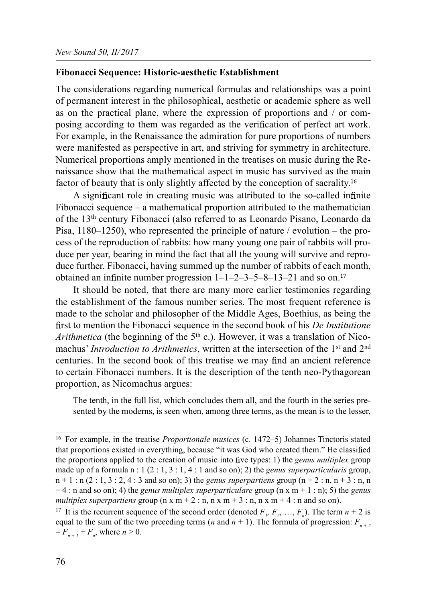#### Fibonacci Sequence: Historic-aesthetic Establishment

The considerations regarding numerical formulas and relationships was a point of permanent interest in the philosophical, aesthetic or academic sphere as well as on the practical plane, where the expression of proportions and / or composing according to them was regarded as the verification of perfect art work. For example, in the Renaissance the admiration for pure proportions of numbers were manifested as perspective in art, and striving for symmetry in architecture. Numerical proportions amply mentioned in the treatises on music during the Renaissance show that the mathematical aspect in music has survived as the main factor of beauty that is only slightly affected by the conception of sacrality.<sup>16</sup>

A significant role in creating music was attributed to the so-called infinite Fibonacci sequence – a mathematical proportion attributed to the mathematician of the 13th century Fibonacci (also referred to as Leonardo Pisano, Leonardo da Pisa, 1180–1250), who represented the principle of nature / evolution – the process of the reproduction of rabbits: how many young one pair of rabbits will produce per year, bearing in mind the fact that all the young will survive and reproduce further. Fibonacci, having summed up the number of rabbits of each month, obtained an infinite number progression  $1 - 1 - 2 - 3 - 5 - 8 - 13 - 21$  and so on.<sup>17</sup>

It should be noted, that there are many more earlier testimonies regarding the establishment of the famous number series. The most frequent reference is made to the scholar and philosopher of the Middle Ages, Boethius, as being the first to mention the Fibonacci sequence in the second book of his  $De$  Institutione Arithmetica (the beginning of the  $5<sup>th</sup>$  c.). However, it was a translation of Nicomachus' Introduction to Arithmetics, written at the intersection of the 1<sup>st</sup> and 2<sup>nd</sup> centuries. In the second book of this treatise we may find an ancient reference to certain Fibonacci numbers. It is the description of the tenth neo-Pythagorean proportion, as Nicomachus argues:

The tenth, in the full list, which concludes them all, and the fourth in the series presented by the moderns, is seen when, among three terms, as the mean is to the lesser,

<sup>&</sup>lt;sup>16</sup> For example, in the treatise *Proportionale musices* (c. 1472–5) Johannes Tinctoris stated that proportions existed in everything, because "it was God who created them." He classified the proportions applied to the creation of music into five types: 1) the *genus multiplex* group made up of a formula  $n: 1 (2 : 1, 3 : 1, 4 : 1$  and so on); 2) the *genus superparticularis* group,  $n+1$ :  $n$  (2 : 1, 3 : 2, 4 : 3 and so on); 3) the *genus superpartiens* group  $(n+2:n, n+3:n, n)$  $+4$ : n and so on); 4) the *genus multiplex superparticulare* group (n x m + 1 : n); 5) the *genus* multiplex superpartiens group ( $n \times m + 2 : n, n \times m + 3 : n, n \times m + 4 : n$  and so on).

<sup>&</sup>lt;sup>17</sup> It is the recurrent sequence of the second order (denoted  $F_p$ ,  $F_2$ , ...,  $F_n$ ). The term  $n + 2$  is equal to the sum of the two preceding terms (*n* and  $n + 1$ ). The formula of progression:  $F_{n+2}$  $=F_{n+1} + F_n$ , where  $n > 0$ .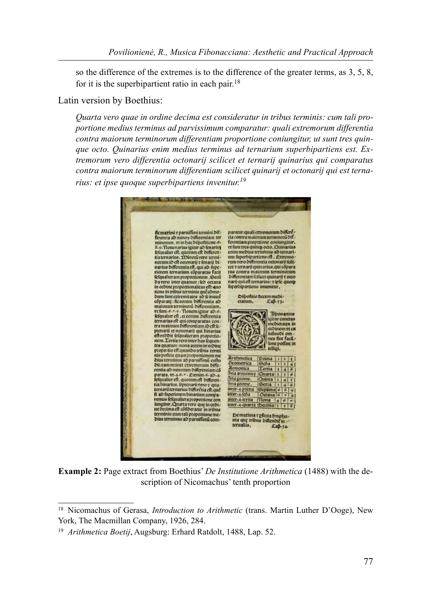so the difference of the extremes is to the difference of the greater terms, as 3, 5, 8, for it is the superbipartient ratio in each pair.<sup>18</sup>

#### Latin version by Boethius:

Quarta vero quae in ordine decima est consideratur in tribus terminis: cum tali proportione medius terminus ad parvissimum comparatur: quali extremorum differentia contra maiorum terminorum differentiam proportione coniungitur, ut sunt tres quinque octo. Quinarius enim medius terminus ad ternarium superbipartiens est. Extremorum vero differentia octonarij scilicet et ternarij quinarius qui comparatus contra maiorum terminorum differentiam scilicet quinarij et octonarij qui est ternarius: et ipse quoque superbipartiens invenitur.<sup>19</sup>



Example 2: Page extract from Boethius' De Institutione Arithmetica (1488) with the description of Nicomachus' tenth proportion

<sup>&</sup>lt;sup>18</sup> Nicomachus of Gerasa, *Introduction to Arithmetic* (trans. Martin Luther D'Ooge), New York, The Macmillan Company, 1926, 284.

<sup>19</sup> Arithmetica Boetij, Augsburg: Erhard Ratdolt, 1488, Lap. 52.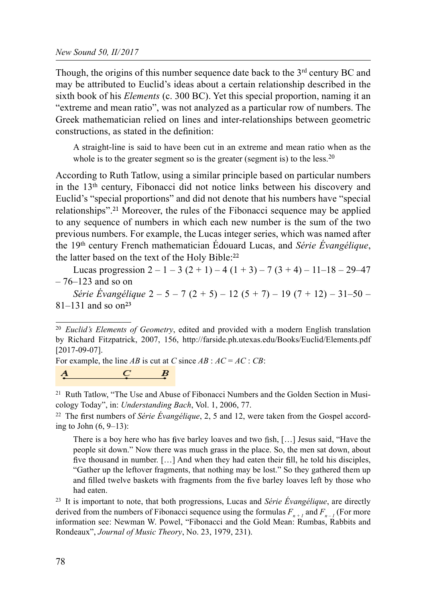Though, the origins of this number sequence date back to the  $3<sup>rd</sup>$  century BC and may be attributed to Euclid's ideas about a certain relationship described in the sixth book of his *Elements* (c. 300 BC). Yet this special proportion, naming it an "extreme and mean ratio", was not analyzed as a particular row of numbers. The Greek mathematician relied on lines and inter-relationships between geometric constructions, as stated in the definition:

A straight-line is said to have been cut in an extreme and mean ratio when as the whole is to the greater segment so is the greater (segment is) to the less.<sup>20</sup>

According to Ruth Tatlow, using a similar principle based on particular numbers in the 13th century, Fibonacci did not notice links between his discovery and Euclid's "special proportions" and did not denote that his numbers have "special relationships".<sup>21</sup> Moreover, the rules of the Fibonacci sequence may be applied to any sequence of numbers in which each new number is the sum of the two previous numbers. For example, the Lucas integer series, which was named after the  $19<sup>th</sup>$  century French mathematician Édouard Lucas, and *Série Évangélique*, the latter based on the text of the Holy Bible:

Lucas progression  $2 - 1 - 3(2 + 1) - 4(1 + 3) - 7(3 + 4) - 11 - 18 - 29 - 47$  $-76-123$  and so on

Série Évangélique 2 – 5 – 7 (2 + 5) – 12 (5 + 7) – 19 (7 + 12) – 31–50 –  $81-131$  and so on<sup>23</sup>

For example, the line AB is cut at C since  $AB : AC = AC : CB$ :

 $\begin{array}{ccc} A & C & B \\ \end{array}$ 

<sup>21</sup> Ruth Tatlow, "The Use and Abuse of Fibonacci Numbers and the Golden Section in Musicology Today", in: Understanding Bach, Vol. 1, 2006, 77.

<sup>22</sup> The first numbers of *Série Évangélique*, 2, 5 and 12, were taken from the Gospel according to John (6, 9–13):

There is a boy here who has five barley loaves and two fish,  $[...]$  Jesus said, "Have the people sit down." Now there was much grass in the place. So, the men sat down, about five thousand in number.  $[\ldots]$  And when they had eaten their fill, he told his disciples, "Gather up the leftover fragments, that nothing may be lost." So they gathered them up and filled twelve baskets with fragments from the five barley loaves left by those who had eaten.

<sup>23</sup> It is important to note, that both progressions, Lucas and *Série Évangélique*, are directly derived from the numbers of Fibonacci sequence using the formulas  $F_{n+1}$  and  $F_{n+1}$  (For more information see: Newman W. Powel, "Fibonacci and the Gold Mean: Rumbas, Rabbits and Rondeaux", Journal of Music Theory, No. 23, 1979, 231).

<sup>&</sup>lt;sup>20</sup> Euclid's Elements of Geometry, edited and provided with a modern English translation by Richard Fitzpatrick, 2007, 156, http://farside.ph.utexas.edu/Books/Euclid/Elements.pdf [2017-09-07].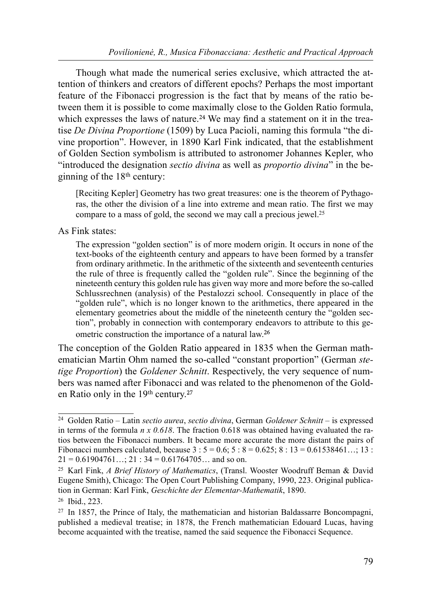Though what made the numerical series exclusive, which attracted the attention of thinkers and creators of different epochs? Perhaps the most important feature of the Fibonacci progression is the fact that by means of the ratio between them it is possible to come maximally close to the Golden Ratio formula, which expresses the laws of nature.<sup>24</sup> We may find a statement on it in the treatise De Divina Proportione (1509) by Luca Pacioli, naming this formula "the divine proportion". However, in 1890 Karl Fink indicated, that the establishment of Golden Section symbolism is attributed to astronomer Johannes Kepler, who "introduced the designation sectio divina as well as proportio divina" in the beginning of the  $18<sup>th</sup>$  century:

[Reciting Kepler] Geometry has two great treasures: one is the theorem of Pythagoras, the other the division of a line into extreme and mean ratio. The first we may compare to a mass of gold, the second we may call a precious jewel.<sup>25</sup>

As Fink states:

The expression "golden section" is of more modern origin. It occurs in none of the text-books of the eighteenth century and appears to have been formed by a transfer from ordinary arithmetic. In the arithmetic of the sixteenth and seventeenth centuries the rule of three is frequently called the "golden rule". Since the beginning of the nineteenth century this golden rule has given way more and more before the so-called Schlussrechnen (analysis) of the Pestalozzi school. Consequently in place of the "golden rule", which is no longer known to the arithmetics, there appeared in the elementary geometries about the middle of the nineteenth century the "golden section", probably in connection with contemporary endeavors to attribute to this geometric construction the importance of a natural law.<sup>26</sup>

The conception of the Golden Ratio appeared in 1835 when the German mathematician Martin Ohm named the so-called "constant proportion" (German stetige Proportion) the Goldener Schnitt. Respectively, the very sequence of numbers was named after Fibonacci and was related to the phenomenon of the Golden Ratio only in the 19<sup>th</sup> century.<sup>27</sup>

 $24$  Golden Ratio – Latin sectio aurea, sectio divina, German Goldener Schnitt – is expressed in terms of the formula  $n \times 0.618$ . The fraction 0.618 was obtained having evaluated the ratios between the Fibonacci numbers. It became more accurate the more distant the pairs of Fibonacci numbers calculated, because  $3 : 5 = 0.6; 5 : 8 = 0.625; 8 : 13 = 0.61538461...; 13 :$  $21 = 0.61904761...$ ;  $21 : 34 = 0.61764705...$  and so on.

<sup>25</sup> Karl Fink, A Brief History of Mathematics, (Transl. Wooster Woodruff Beman & David Eugene Smith), Chicago: The Open Court Publishing Company, 1990, 223. Original publication in German: Karl Fink, Geschichte der Elementar-Mathematik, 1890. 26 Ibid., 223.

<sup>27</sup> In 1857, the Prince of Italy, the mathematician and historian Baldassarre Boncompagni, published a medieval treatise; in 1878, the French mathematician Edouard Lucas, having become acquainted with the treatise, named the said sequence the Fibonacci Sequence.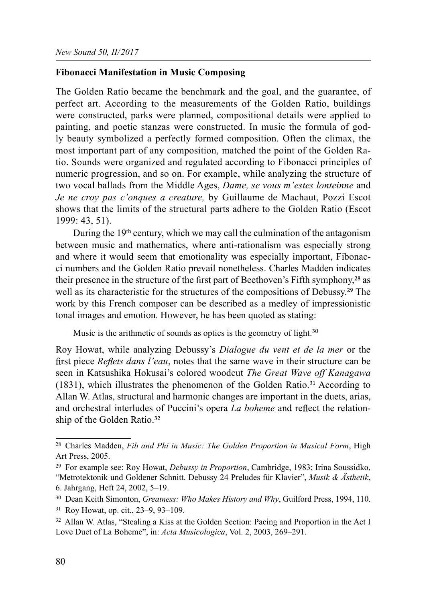### Fibonacci Manifestation in Music Composing

The Golden Ratio became the benchmark and the goal, and the guarantee, of perfect art. According to the measurements of the Golden Ratio, buildings were constructed, parks were planned, compositional details were applied to painting, and poetic stanzas were constructed. In music the formula of godly beauty symbolized a perfectly formed composition. Often the climax, the most important part of any composition, matched the point of the Golden Ratio. Sounds were organized and regulated according to Fibonacci principles of numeric progression, and so on. For example, while analyzing the structure of two vocal ballads from the Middle Ages, Dame, se vous m'estes lonteinne and Je ne croy pas c'onques a creature, by Guillaume de Machaut, Pozzi Escot shows that the limits of the structural parts adhere to the Golden Ratio (Escot 1999: 43, 51).

During the 19<sup>th</sup> century, which we may call the culmination of the antagonism between music and mathematics, where anti-rationalism was especially strong and where it would seem that emotionality was especially important, Fibonacci numbers and the Golden Ratio prevail nonetheless. Charles Madden indicates their presence in the structure of the first part of Beethoven's Fifth symphony,  $28$  as well as its characteristic for the structures of the compositions of Debussy.<sup>29</sup> The work by this French composer can be described as a medley of impressionistic tonal images and emotion. However, he has been quoted as stating:

Music is the arithmetic of sounds as optics is the geometry of light.<sup>30</sup>

Roy Howat, while analyzing Debussy's Dialogue du vent et de la mer or the first piece Reflets dans l'eau, notes that the same wave in their structure can be seen in Katsushika Hokusai's colored woodcut The Great Wave off Kanagawa  $(1831)$ , which illustrates the phenomenon of the Golden Ratio.<sup>31</sup> According to Allan W. Atlas, structural and harmonic changes are important in the duets, arias, and orchestral interludes of Puccini's opera La boheme and reflect the relationship of the Golden Ratio.<sup>32</sup>

 $28$  Charles Madden, Fib and Phi in Music: The Golden Proportion in Musical Form, High Art Press, 2005.

<sup>&</sup>lt;sup>29</sup> For example see: Roy Howat, *Debussy in Proportion*, Cambridge, 1983; Irina Soussidko, "Metrotektonik und Goldener Schnitt. Debussy 24 Preludes für Klavier", Musik & Ästhetik, 6. Jahrgang, Heft 24, 2002, 5–19.

<sup>&</sup>lt;sup>30</sup> Dean Keith Simonton, Greatness: Who Makes History and Why, Guilford Press, 1994, 110.

<sup>31</sup> Roy Howat, op. cit., 23–9, 93–109.

<sup>&</sup>lt;sup>32</sup> Allan W. Atlas, "Stealing a Kiss at the Golden Section: Pacing and Proportion in the Act I Love Duet of La Boheme", in: Acta Musicologica, Vol. 2, 2003, 269-291.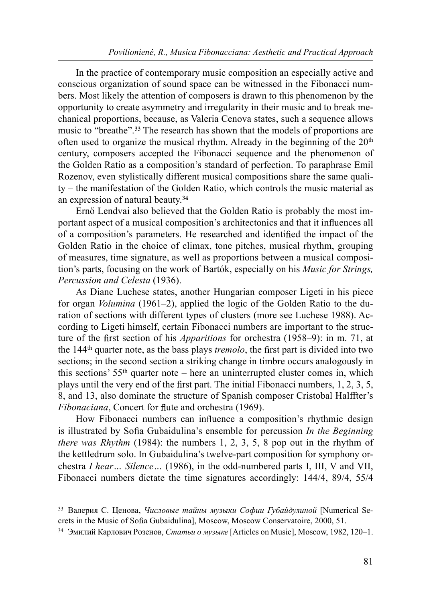In the practice of contemporary music composition an especially active and conscious organization of sound space can be witnessed in the Fibonacci numbers. Most likely the attention of composers is drawn to this phenomenon by the opportunity to create asymmetry and irregularity in their music and to break mechanical proportions, because, as Valeria Cenova states, such a sequence allows music to "breathe".<sup>33</sup> The research has shown that the models of proportions are often used to organize the musical rhythm. Already in the beginning of the  $20<sup>th</sup>$ century, composers accepted the Fibonacci sequence and the phenomenon of the Golden Ratio as a composition's standard of perfection. To paraphrase Emil Rozenov, even stylistically different musical compositions share the same quality – the manifestation of the Golden Ratio, which controls the music material as an expression of natural beauty.

Ernő Lendvai also believed that the Golden Ratio is probably the most important aspect of a musical composition's architectonics and that it influences all of a composition's parameters. He researched and identified the impact of the Golden Ratio in the choice of climax, tone pitches, musical rhythm, grouping of measures, time signature, as well as proportions between a musical composition's parts, focusing on the work of Bartók, especially on his Music for Strings, Percussion and Celesta (1936).

As Diane Luchese states, another Hungarian composer Ligeti in his piece for organ Volumina (1961–2), applied the logic of the Golden Ratio to the duration of sections with different types of clusters (more see Luchese 1988). According to Ligeti himself, certain Fibonacci numbers are important to the structure of the first section of his *Apparitions* for orchestra (1958–9): in m. 71, at the  $144<sup>th</sup>$  quarter note, as the bass plays *tremolo*, the first part is divided into two sections; in the second section a striking change in timbre occurs analogously in this sections'  $55<sup>th</sup>$  quarter note – here an uninterrupted cluster comes in, which plays until the very end of the first part. The initial Fibonacci numbers,  $1, 2, 3, 5$ , 8, and 13, also dominate the structure of Spanish composer Cristobal Halffter's Fibonaciana, Concert for flute and orchestra (1969).

How Fibonacci numbers can influence a composition's rhythmic design is illustrated by Sofia Gubaidulina's ensemble for percussion *In the Beginning there was Rhythm* (1984): the numbers 1, 2, 3, 5, 8 pop out in the rhythm of the kettledrum solo. In Gubaidulina's twelve-part composition for symphony orchestra I hear… Silence… (1986), in the odd-numbered parts I, III, V and VII, Fibonacci numbers dictate the time signatures accordingly: 144/4, 89/4, 55/4

<sup>&</sup>lt;sup>33</sup> Валерия С. Ценова, Числовые тайны музыки Софии Губайдулиной [Numerical Secrets in the Music of Sofia Gubaidulina], Moscow, Moscow Conservatoire, 2000, 51.

<sup>&</sup>lt;sup>34</sup> Эмилий Карлович Розенов, Статьи о музыке [Articles on Music], Moscow, 1982, 120-1.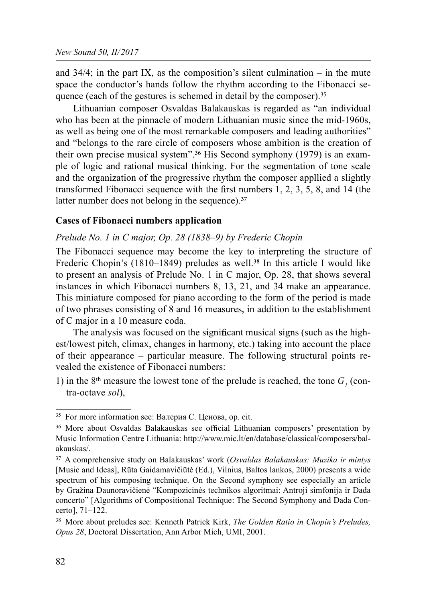and  $34/4$ ; in the part IX, as the composition's silent culmination – in the mute space the conductor's hands follow the rhythm according to the Fibonacci sequence (each of the gestures is schemed in detail by the composer).<sup>35</sup>

Lithuanian composer Osvaldas Balakauskas is regarded as "an individual who has been at the pinnacle of modern Lithuanian music since the mid-1960s, as well as being one of the most remarkable composers and leading authorities" and "belongs to the rare circle of composers whose ambition is the creation of their own precise musical system".<sup>36</sup> His Second symphony (1979) is an example of logic and rational musical thinking. For the segmentation of tone scale and the organization of the progressive rhythm the composer appllied a slightly transformed Fibonacci sequence with the first numbers  $1, 2, 3, 5, 8$ , and  $14$  (the latter number does not belong in the sequence).<sup>37</sup>

#### Cases of Fibonacci numbers application

### Prelude No. 1 in C major, Op. 28 (1838–9) by Frederic Chopin

The Fibonacci sequence may become the key to interpreting the structure of Frederic Chopin's  $(1810-1849)$  preludes as well.<sup>38</sup> In this article I would like to present an analysis of Prelude No. 1 in C major, Op. 28, that shows several instances in which Fibonacci numbers 8, 13, 21, and 34 make an appearance. This miniature composed for piano according to the form of the period is made of two phrases consisting of 8 and 16 measures, in addition to the establishment of C major in a 10 measure coda.

The analysis was focused on the significant musical signs (such as the highest/lowest pitch, climax, changes in harmony, etc.) taking into account the place of their appearance – particular measure. The following structural points revealed the existence of Fibonacci numbers:

1) in the 8<sup>th</sup> measure the lowest tone of the prelude is reached, the tone  $G_1$  (contra-octave sol),

<sup>35</sup> For more information see: Валерия C. Ценова, op. cit.

<sup>&</sup>lt;sup>36</sup> More about Osvaldas Balakauskas see official Lithuanian composers' presentation by Music Information Centre Lithuania: http://www.mic.lt/en/database/classical/composers/balakauskas/.

<sup>&</sup>lt;sup>37</sup> A comprehensive study on Balakauskas' work (Osvaldas Balakauskas: Muzika ir mintys [Music and Ideas], Rūta Gaidamavičiūtė (Ed.), Vilnius, Baltos lankos, 2000) presents a wide spectrum of his composing technique. On the Second symphony see especially an article by Gražina Daunoravičienė "Kompozicinės technikos algoritmai: Antroji simfonija ir Dada concerto" [Algorithms of Compositional Technique: The Second Symphony and Dada Concerto], 71–122.

<sup>&</sup>lt;sup>38</sup> More about preludes see: Kenneth Patrick Kirk, *The Golden Ratio in Chopin's Preludes*, Opus 28, Doctoral Dissertation, Ann Arbor Mich, UMI, 2001.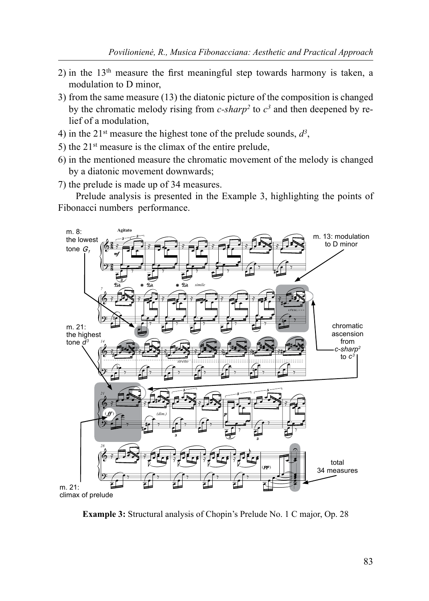- 2) in the  $13<sup>th</sup>$  measure the first meaningful step towards harmony is taken, a modulation to D minor
- 3) from the same measure (13) the diatonic picture of the composition is changed by the chromatic melody rising from  $c$ -sharp<sup>2</sup> to  $c<sup>3</sup>$  and then deepened by relief of a modulation,
- 4) in the 21<sup>st</sup> measure the highest tone of the prelude sounds,  $d^3$ ,
- 5) the  $21^{st}$  measure is the climax of the entire prelude,
- 6) in the mentioned measure the chromatic movement of the melody is changed by a diatonic movement downwards;
- 7) the prelude is made up of 34 measures.

Prelude analysis is presented in the Example 3, highlighting the points of Fibonacci numbers performance.



Example 3: Structural analysis of Chopin's Prelude No. 1 C major, Op. 28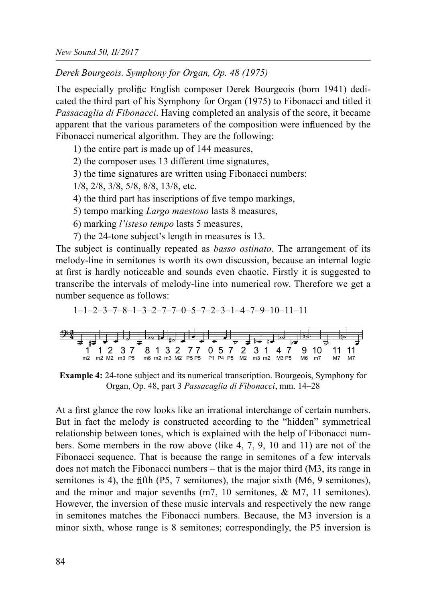Derek Bourgeois. Symphony for Organ, Op. 48 (1975)

The especially prolific English composer Derek Bourgeois (born 1941) dedicated the third part of his Symphony for Organ (1975) to Fibonacci and titled it Passacaglia di Fibonacci. Having completed an analysis of the score, it became apparent that the various parameters of the composition were influenced by the Fibonacci numerical algorithm. They are the following:

1) the entire part is made up of 144 measures,

2) the composer uses 13 different time signatures,

3) the time signatures are written using Fibonacci numbers:

1/8, 2/8, 3/8, 5/8, 8/8, 13/8, etc.

4) the third part has inscriptions of five tempo markings,

5) tempo marking Largo maestoso lasts 8 measures,

6) marking l'isteso tempo lasts 5 measures,

7) the 24-tone subject's length in measures is 13.

The subject is continually repeated as *basso ostinato*. The arrangement of its melody-line in semitones is worth its own discussion, because an internal logic at first is hardly noticeable and sounds even chaotic. Firstly it is suggested to transcribe the intervals of melody-line into numerical row. Therefore we get a number sequence as follows:

$$
1\hspace{-1mm}-\hspace{-1mm}1\hspace{-1mm}-\hspace{-1mm}2\hspace{-1mm}-\hspace{-1mm}3\hspace{-1mm}-\hspace{-1mm}7\hspace{-1mm}-\hspace{-1mm}8\hspace{-1mm}-\hspace{-1mm}1\hspace{-1mm}-\hspace{-1mm}3\hspace{-1mm}-\hspace{-1mm}2\hspace{-1mm}-\hspace{-1mm}7\hspace{-1mm}-\hspace{-1mm}0\hspace{-1mm}-\hspace{-1mm}5\hspace{-1mm}-\hspace{-1mm}7\hspace{-1mm}-\hspace{-1mm}2\hspace{-1mm}-\hspace{-1mm}3\hspace{-1mm}-\hspace{-1mm}1\hspace{-1mm}-\hspace{-1mm}4\hspace{-1mm}-\hspace{-1mm}7\hspace{-1mm}-\hspace{-1mm}9\hspace{-1mm}-\hspace{-1mm}10\hspace{-1mm}-\hspace{-1mm}11\hspace{-1mm}-\hspace{-1mm}11
$$

 1 1 2 3 7 8 1 3 2 7 7 0 5 7 2 3 1 4 7 9 10 11 11 m2 m2 M2 m3 P5 m6 m2 m3 M2 P5 P5 P1 P4 P5 M2 m3 m2 M3 P5 M6 m7 M7 M7

Example 4: 24-tone subject and its numerical transcription. Bourgeois, Symphony for Organ, Op. 48, part 3 Passacaglia di Fibonacci, mm. 14–28

At a first glance the row looks like an irrational interchange of certain numbers. But in fact the melody is constructed according to the "hidden" symmetrical relationship between tones, which is explained with the help of Fibonacci numbers. Some members in the row above (like 4, 7, 9, 10 and 11) are not of the Fibonacci sequence. That is because the range in semitones of a few intervals does not match the Fibonacci numbers – that is the major third (M3, its range in semitones is 4), the fifth (P5, 7 semitones), the major sixth  $(M6, 9$  semitones), and the minor and major sevenths (m7, 10 semitones, & M7, 11 semitones). However, the inversion of these music intervals and respectively the new range in semitones matches the Fibonacci numbers. Because, the M3 inversion is a minor sixth, whose range is 8 semitones; correspondingly, the P5 inversion is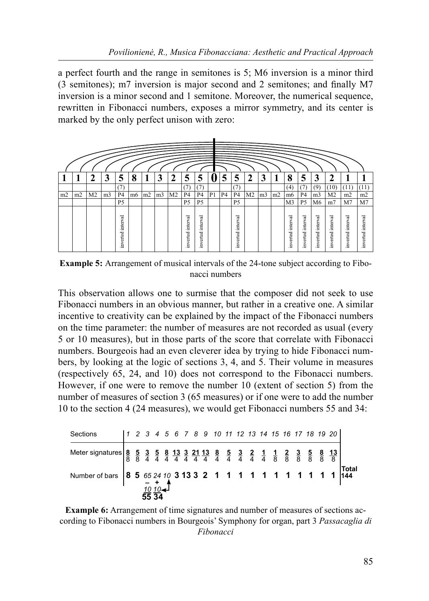a perfect fourth and the range in semitones is 5; M6 inversion is a minor third  $(3$  semitones); m7 inversion is major second and 2 semitones; and finally M7 inversion is a minor second and 1 semitone. Moreover, the numerical sequence, rewritten in Fibonacci numbers, exposes a mirror symmetry, and its center is marked by the only perfect unison with zero:



Example 5: Arrangement of musical intervals of the 24-tone subject according to Fibonacci numbers

This observation allows one to surmise that the composer did not seek to use Fibonacci numbers in an obvious manner, but rather in a creative one. A similar incentive to creativity can be explained by the impact of the Fibonacci numbers on the time parameter: the number of measures are not recorded as usual (every 5 or 10 measures), but in those parts of the score that correlate with Fibonacci numbers. Bourgeois had an even cleverer idea by trying to hide Fibonacci numbers, by looking at the logic of sections 3, 4, and 5. Their volume in measures (respectively 65, 24, and 10) does not correspond to the Fibonacci numbers. However, if one were to remove the number 10 (extent of section 5) from the number of measures of section 3 (65 measures) or if one were to add the number 10 to the section 4 (24 measures), we would get Fibonacci numbers 55 and 34:

| Sections |  |          |  |  |  |  |  |  |  | $1 2 3 4 5 6 7 8 9 10 11 12 13 14 15 16 17 18 19 20$ |  |
|----------|--|----------|--|--|--|--|--|--|--|------------------------------------------------------|--|
|          |  |          |  |  |  |  |  |  |  |                                                      |  |
|          |  |          |  |  |  |  |  |  |  |                                                      |  |
|          |  | $1010 -$ |  |  |  |  |  |  |  |                                                      |  |

Example 6: Arrangement of time signatures and number of measures of sections according to Fibonacci numbers in Bourgeois' Symphony for organ, part 3 Passacaglia di Fibonacci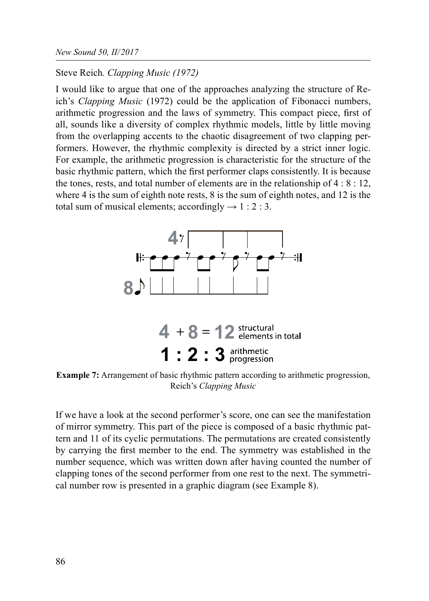### Steve Reich. Clapping Music (1972)

I would like to argue that one of the approaches analyzing the structure of Reich's Clapping Music (1972) could be the application of Fibonacci numbers, arithmetic progression and the laws of symmetry. This compact piece, first of all, sounds like a diversity of complex rhythmic models, little by little moving from the overlapping accents to the chaotic disagreement of two clapping performers. However, the rhythmic complexity is directed by a strict inner logic. For example, the arithmetic progression is characteristic for the structure of the basic rhythmic pattern, which the first performer claps consistently. It is because the tones, rests, and total number of elements are in the relationship of 4 : 8 : 12, where 4 is the sum of eighth note rests, 8 is the sum of eighth notes, and 12 is the total sum of musical elements; accordingly  $\rightarrow$  1 : 2 : 3.



Example 7: Arrangement of basic rhythmic pattern according to arithmetic progression, Reich's Clapping Music

If we have a look at the second performer's score, one can see the manifestation of mirror symmetry. This part of the piece is composed of a basic rhythmic pattern and 11 of its cyclic permutations. The permutations are created consistently by carrying the first member to the end. The symmetry was established in the number sequence, which was written down after having counted the number of clapping tones of the second performer from one rest to the next. The symmetrical number row is presented in a graphic diagram (see Example 8).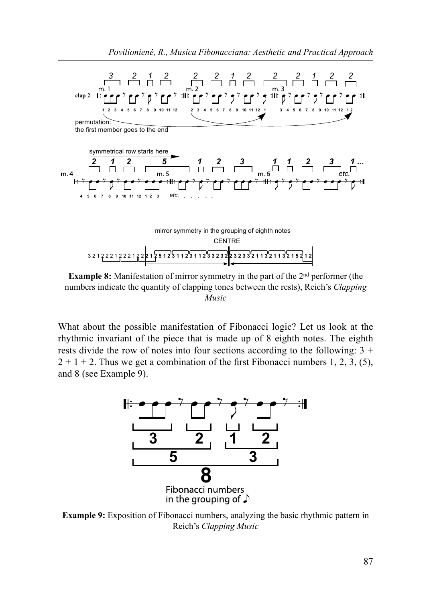



**Example 8:** Manifestation of mirror symmetry in the part of the  $2<sup>nd</sup>$  performer (the numbers indicate the quantity of clapping tones between the rests), Reich's Clapping Music

What about the possible manifestation of Fibonacci logic? Let us look at the rhythmic invariant of the piece that is made up of 8 eighth notes. The eighth rests divide the row of notes into four sections according to the following:  $3 +$  $2 + 1 + 2$ . Thus we get a combination of the first Fibonacci numbers 1, 2, 3, (5), and 8 (see Example 9).



Example 9: Exposition of Fibonacci numbers, analyzing the basic rhythmic pattern in Reich's Clapping Music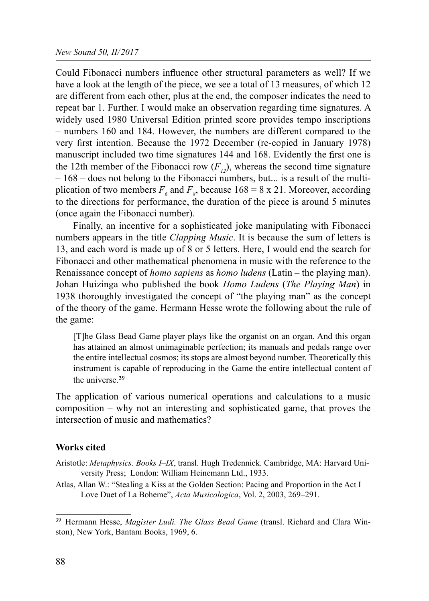Could Fibonacci numbers influence other structural parameters as well? If we have a look at the length of the piece, we see a total of 13 measures, of which 12 are different from each other, plus at the end, the composer indicates the need to repeat bar 1. Further. I would make an observation regarding time signatures. A widely used 1980 Universal Edition printed score provides tempo inscriptions – numbers 160 and 184. However, the numbers are different compared to the very first intention. Because the 1972 December (re-copied in January 1978) manuscript included two time signatures 144 and 168. Evidently the first one is the 12th member of the Fibonacci row  $(F<sub>12</sub>)$ , whereas the second time signature – 168 – does not belong to the Fibonacci numbers, but... is a result of the multiplication of two members  $F_6$  and  $F_8$ , because 168 = 8 x 21. Moreover, according to the directions for performance, the duration of the piece is around 5 minutes (once again the Fibonacci number).

Finally, an incentive for a sophisticated joke manipulating with Fibonacci numbers appears in the title *Clapping Music*. It is because the sum of letters is 13, and each word is made up of 8 or 5 letters. Here, I would end the search for Fibonacci and other mathematical phenomena in music with the reference to the Renaissance concept of *homo sapiens* as *homo ludens* (Latin – the playing man). Johan Huizinga who published the book Homo Ludens (The Playing Man) in 1938 thoroughly investigated the concept of "the playing man" as the concept of the theory of the game. Hermann Hesse wrote the following about the rule of the game:

[T]he Glass Bead Game player plays like the organist on an organ. And this organ has attained an almost unimaginable perfection; its manuals and pedals range over the entire intellectual cosmos; its stops are almost beyond number. Theoretically this instrument is capable of reproducing in the Game the entire intellectual content of the universe.<sup>39</sup>

The application of various numerical operations and calculations to a music composition – why not an interesting and sophisticated game, that proves the intersection of music and mathematics?

#### Works cited

- Aristotle: Metaphysics. Books I-IX, transl. Hugh Tredennick. Cambridge, MA: Harvard University Press; London: William Heinemann Ltd., 1933.
- Atlas, Allan W.: "Stealing a Kiss at the Golden Section: Pacing and Proportion in the Act I Love Duet of La Boheme", Acta Musicologica, Vol. 2, 2003, 269–291.

<sup>&</sup>lt;sup>39</sup> Hermann Hesse, Magister Ludi. The Glass Bead Game (transl. Richard and Clara Winston), New York, Bantam Books, 1969, 6.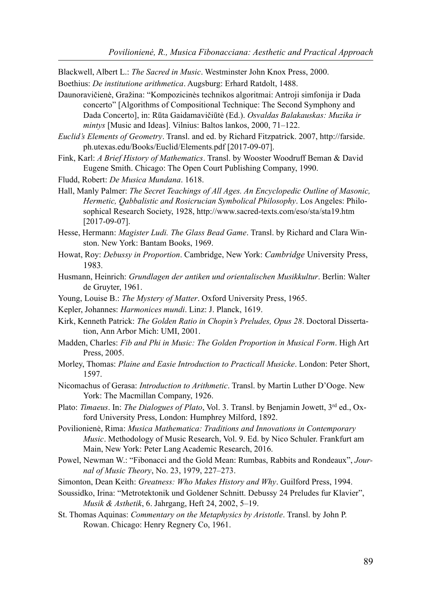Blackwell, Albert L.: The Sacred in Music. Westminster John Knox Press, 2000.

- Boethius: De institutione arithmetica. Augsburg: Erhard Ratdolt, 1488.
- Daunoravičienė, Gražina: "Kompozicinės technikos algoritmai: Antroji simfonija ir Dada concerto" [Algorithms of Compositional Technique: The Second Symphony and Dada Concerto], in: Rūta Gaidamavičiūtė (Ed.). Osvaldas Balakauskas: Muzika ir mintys [Music and Ideas]. Vilnius: Baltos lankos, 2000, 71–122.
- Euclid's Elements of Geometry. Transl. and ed. by Richard Fitzpatrick. 2007, http://farside. ph.utexas.edu/Books/Euclid/Elements.pdf [2017-09-07].
- Fink, Karl: A Brief History of Mathematics. Transl. by Wooster Woodruff Beman & David Eugene Smith. Chicago: The Open Court Publishing Company, 1990.
- Fludd, Robert: De Musica Mundana. 1618.
- Hall, Manly Palmer: The Secret Teachings of All Ages. An Encyclopedic Outline of Masonic, Hermetic, Qabbalistic and Rosicrucian Symbolical Philosophy. Los Angeles: Philosophical Research Society, 1928, http://www.sacred-texts.com/eso/sta/sta19.htm [2017-09-07].
- Hesse, Hermann: Magister Ludi. The Glass Bead Game. Transl. by Richard and Clara Winston. New York: Bantam Books, 1969.
- Howat, Roy: Debussy in Proportion. Cambridge, New York: Cambridge University Press, 1983.
- Husmann, Heinrich: Grundlagen der antiken und orientalischen Musikkultur. Berlin: Walter de Gruyter, 1961.
- Young, Louise B.: The Mystery of Matter. Oxford University Press, 1965.
- Kepler, Johannes: Harmonices mundi. Linz: J. Planck, 1619.
- Kirk, Kenneth Patrick: The Golden Ratio in Chopin's Preludes, Opus 28. Doctoral Dissertation, Ann Arbor Mich: UMI, 2001.
- Madden, Charles: Fib and Phi in Music: The Golden Proportion in Musical Form. High Art Press, 2005.
- Morley, Thomas: Plaine and Easie Introduction to Practicall Musicke. London: Peter Short, 1597.
- Nicomachus of Gerasa: Introduction to Arithmetic. Transl. by Martin Luther D'Ooge. New York: The Macmillan Company, 1926.
- Plato: Timaeus. In: The Dialogues of Plato, Vol. 3. Transl. by Benjamin Jowett,  $3^{rd}$  ed., Oxford University Press, London: Humphrey Milford, 1892.
- Povilionienė, Rima: Musica Mathematica: Traditions and Innovations in Contemporary Music. Methodology of Music Research, Vol. 9. Ed. by Nico Schuler. Frankfurt am Main, New York: Peter Lang Academic Research, 2016.
- Powel, Newman W.: "Fibonacci and the Gold Mean: Rumbas, Rabbits and Rondeaux", Journal of Music Theory, No. 23, 1979, 227–273.
- Simonton, Dean Keith: Greatness: Who Makes History and Why. Guilford Press, 1994.
- Soussidko, Irina: "Metrotektonik und Goldener Schnitt. Debussy 24 Preludes fur Klavier", Musik & Asthetik, 6. Jahrgang, Heft 24, 2002, 5–19.
- St. Thomas Aquinas: Commentary on the Metaphysics by Aristotle. Transl. by John P. Rowan. Chicago: Henry Regnery Co, 1961.